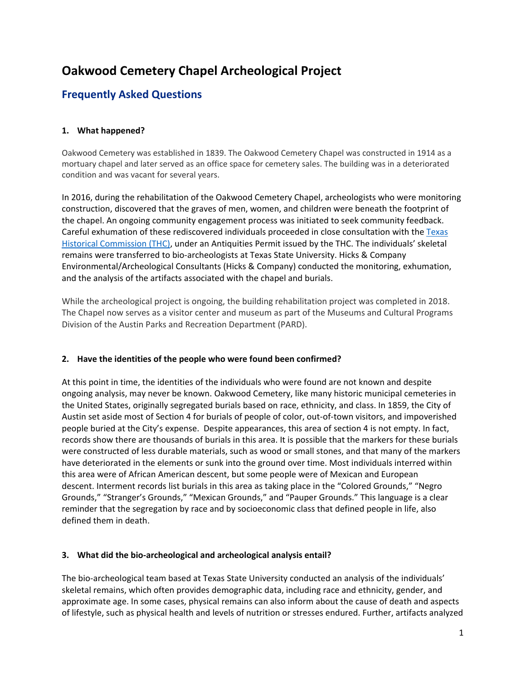# **Oakwood Cemetery Chapel Archeological Project**

## **Frequently Asked Questions**

## **1. What happened?**

Oakwood Cemetery was established in 1839. The Oakwood Cemetery Chapel was constructed in 1914 as a mortuary chapel and later served as an office space for cemetery sales. The building was in a deteriorated condition and was vacant for several years.

In 2016, during the rehabilitation of the Oakwood Cemetery Chapel, archeologists who were monitoring construction, discovered that the graves of men, women, and children were beneath the footprint of the chapel. An ongoing community engagement process was initiated to seek community feedback. Careful exhumation of these rediscovered individuals proceeded in close consultation with th[e Texas](https://https/www.thc.texas.gov/)  [Historical Commission \(THC\),](https://https/www.thc.texas.gov/) under an Antiquities Permit issued by the THC. The individuals' skeletal remains were transferred to bio-archeologists at Texas State University. Hicks & Company Environmental/Archeological Consultants (Hicks & Company) conducted the monitoring, exhumation, and the analysis of the artifacts associated with the chapel and burials.

While the archeological project is ongoing, the building rehabilitation project was completed in 2018. The Chapel now serves as a visitor center and museum as part of the Museums and Cultural Programs Division of the Austin Parks and Recreation Department (PARD).

## **2. Have the identities of the people who were found been confirmed?**

At this point in time, the identities of the individuals who were found are not known and despite ongoing analysis, may never be known. Oakwood Cemetery, like many historic municipal cemeteries in the United States, originally segregated burials based on race, ethnicity, and class. In 1859, the City of Austin set aside most of Section 4 for burials of people of color, out-of-town visitors, and impoverished people buried at the City's expense. Despite appearances, this area of section 4 is not empty. In fact, records show there are thousands of burials in this area. It is possible that the markers for these burials were constructed of less durable materials, such as wood or small stones, and that many of the markers have deteriorated in the elements or sunk into the ground over time. Most individuals interred within this area were of African American descent, but some people were of Mexican and European descent. Interment records list burials in this area as taking place in the "Colored Grounds," "Negro Grounds," "Stranger's Grounds," "Mexican Grounds," and "Pauper Grounds." This language is a clear reminder that the segregation by race and by socioeconomic class that defined people in life, also defined them in death.

## **3. What did the bio-archeological and archeological analysis entail?**

The bio-archeological team based at Texas State University conducted an analysis of the individuals' skeletal remains, which often provides demographic data, including race and ethnicity, gender, and approximate age. In some cases, physical remains can also inform about the cause of death and aspects of lifestyle, such as physical health and levels of nutrition or stresses endured. Further, artifacts analyzed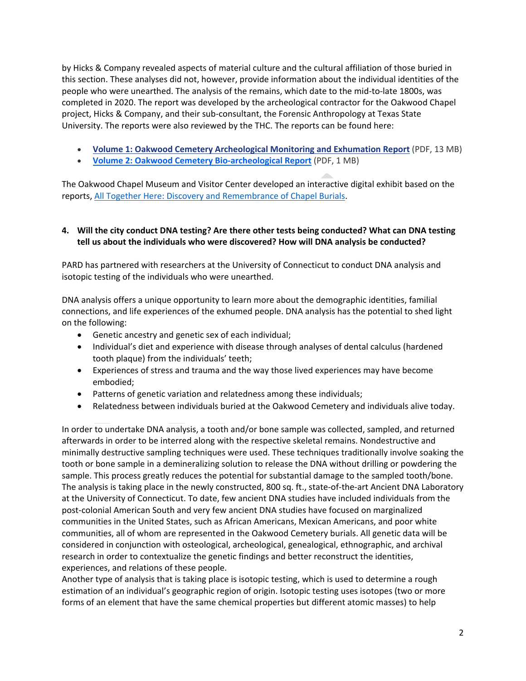by Hicks & Company revealed aspects of material culture and the cultural affiliation of those buried in this section. These analyses did not, however, provide information about the individual identities of the people who were unearthed. The analysis of the remains, which date to the mid-to-late 1800s, was completed in 2020. The report was developed by the archeological contractor for the Oakwood Chapel project, Hicks & Company, and their sub-consultant, the Forensic Anthropology at Texas State University. The reports were also reviewed by the THC. The reports can be found here:

- **[Volume 1: Oakwood Cemetery Archeological Monitoring and Exhumation Report](https://www.austintexas.gov/sites/default/files/files/Parks/Oakwood/Oakwood%20Monitoring%20and%20Exhumations%20Vol%20I%20%20-%20Public%20Distribution%20Copy%20-%20April%202020.pdf)** (PDF, 13 MB)
- **[Volume 2: Oakwood Cemetery Bio-archeological](https://www.austintexas.gov/sites/default/files/files/Parks/Oakwood/Oakwood%20Exhumations%20Vol%20II%20Bioarcheology%20Public%20Distribution%20Copy%20-%20April%202020.pdf) Report** (PDF, 1 MB)

The Oakwood Chapel Museum and Visitor Center developed an interactive digital exhibit based on the reports, [All Together Here: Discovery and Remembrance of Chapel Burials.](https://storymaps.arcgis.com/collections/eacb51b55ce945889c23f6f8ba62d186)

## **4. Will the city conduct DNA testing? Are there other tests being conducted? What can DNA testing tell us about the individuals who were discovered? How will DNA analysis be conducted?**

PARD has partnered with researchers at the University of Connecticut to conduct DNA analysis and isotopic testing of the individuals who were unearthed.

DNA analysis offers a unique opportunity to learn more about the demographic identities, familial connections, and life experiences of the exhumed people. DNA analysis has the potential to shed light on the following:

- Genetic ancestry and genetic sex of each individual;
- Individual's diet and experience with disease through analyses of dental calculus (hardened tooth plaque) from the individuals' teeth;
- Experiences of stress and trauma and the way those lived experiences may have become embodied;
- Patterns of genetic variation and relatedness among these individuals;
- Relatedness between individuals buried at the Oakwood Cemetery and individuals alive today.

In order to undertake DNA analysis, a tooth and/or bone sample was collected, sampled, and returned afterwards in order to be interred along with the respective skeletal remains. Nondestructive and minimally destructive sampling techniques were used. These techniques traditionally involve soaking the tooth or bone sample in a demineralizing solution to release the DNA without drilling or powdering the sample. This process greatly reduces the potential for substantial damage to the sampled tooth/bone. The analysis is taking place in the newly constructed, 800 sq. ft., state-of-the-art Ancient DNA Laboratory at the University of Connecticut. To date, few ancient DNA studies have included individuals from the post-colonial American South and very few ancient DNA studies have focused on marginalized communities in the United States, such as African Americans, Mexican Americans, and poor white communities, all of whom are represented in the Oakwood Cemetery burials. All genetic data will be considered in conjunction with osteological, archeological, genealogical, ethnographic, and archival research in order to contextualize the genetic findings and better reconstruct the identities, experiences, and relations of these people.

Another type of analysis that is taking place is isotopic testing, which is used to determine a rough estimation of an individual's geographic region of origin. Isotopic testing uses isotopes (two or more forms of an element that have the same chemical properties but different atomic masses) to help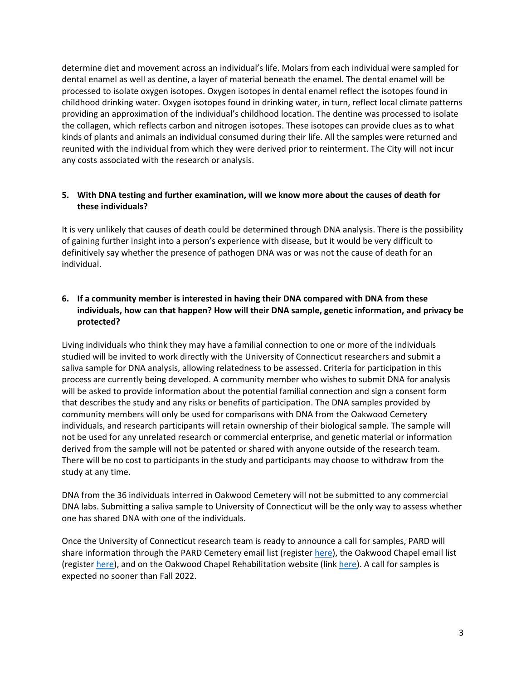determine diet and movement across an individual's life. Molars from each individual were sampled for dental enamel as well as dentine, a layer of material beneath the enamel. The dental enamel will be processed to isolate oxygen isotopes. Oxygen isotopes in dental enamel reflect the isotopes found in childhood drinking water. Oxygen isotopes found in drinking water, in turn, reflect local climate patterns providing an approximation of the individual's childhood location. The dentine was processed to isolate the collagen, which reflects carbon and nitrogen isotopes. These isotopes can provide clues as to what kinds of plants and animals an individual consumed during their life. All the samples were returned and reunited with the individual from which they were derived prior to reinterment. The City will not incur any costs associated with the research or analysis.

## **5. With DNA testing and further examination, will we know more about the causes of death for these individuals?**

It is very unlikely that causes of death could be determined through DNA analysis. There is the possibility of gaining further insight into a person's experience with disease, but it would be very difficult to definitively say whether the presence of pathogen DNA was or was not the cause of death for an individual.

## **6. If a community member is interested in having their DNA compared with DNA from these individuals, how can that happen? How will their DNA sample, genetic information, and privacy be protected?**

Living individuals who think they may have a familial connection to one or more of the individuals studied will be invited to work directly with the University of Connecticut researchers and submit a saliva sample for DNA analysis, allowing relatedness to be assessed. Criteria for participation in this process are currently being developed. A community member who wishes to submit DNA for analysis will be asked to provide information about the potential familial connection and sign a consent form that describes the study and any risks or benefits of participation. The DNA samples provided by community members will only be used for comparisons with DNA from the Oakwood Cemetery individuals, and research participants will retain ownership of their biological sample. The sample will not be used for any unrelated research or commercial enterprise, and genetic material or information derived from the sample will not be patented or shared with anyone outside of the research team. There will be no cost to participants in the study and participants may choose to withdraw from the study at any time.

DNA from the 36 individuals interred in Oakwood Cemetery will not be submitted to any commercial DNA labs. Submitting a saliva sample to University of Connecticut will be the only way to assess whether one has shared DNA with one of the individuals.

Once the University of Connecticut research team is ready to announce a call for samples, PARD will share information through the PARD Cemetery email list (register [here\)](https://austintexas.us10.list-manage.com/subscribe?u=f5c7556143374f68f9fd7e71f&id=1c6caa5202), the Oakwood Chapel email list (register [here\)](https://austintexas.us10.list-manage.com/subscribe/post?u=f5c7556143374f68f9fd7e71f&id=69b0dd905e), and on the Oakwood Chapel Rehabilitation website (link [here\)](https://www.austintexas.gov/OakwoodProject). A call for samples is expected no sooner than Fall 2022.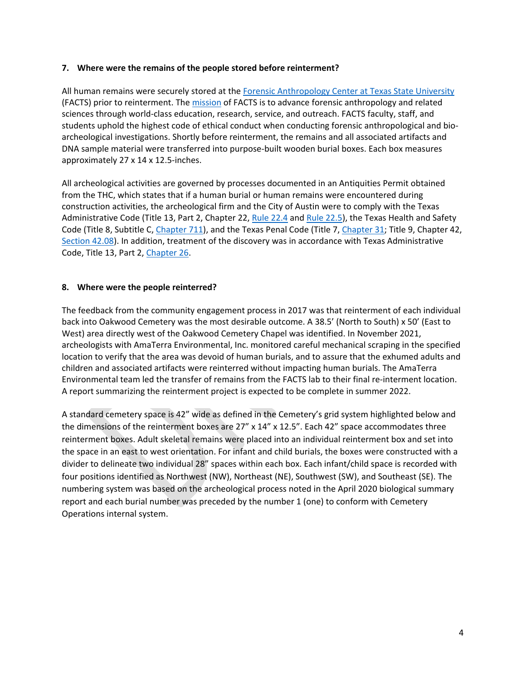#### **7. Where were the remains of the people stored before reinterment?**

All human remains were securely stored at the [Forensic Anthropology Center at Texas State University](https://www.txstate.edu/anthropology/facts/aboutus.html) (FACTS) prior to reinterment. The [mission](https://www.txstate.edu/anthropology/facts/aboutus/mission.html) of FACTS is to advance forensic anthropology and related sciences through world-class education, research, service, and outreach. FACTS faculty, staff, and students uphold the highest code of ethical conduct when conducting forensic anthropological and bioarcheological investigations. Shortly before reinterment, the remains and all associated artifacts and DNA sample material were transferred into purpose-built wooden burial boxes. Each box measures approximately 27 x 14 x 12.5-inches.

All archeological activities are governed by processes documented in an Antiquities Permit obtained from the THC, which states that if a human burial or human remains were encountered during construction activities, the archeological firm and the City of Austin were to comply with the Texas Administrative Code (Title 13, Part 2, Chapter 22, [Rule 22.4](https://texreg.sos.state.tx.us/public/readtac$ext.TacPage?sl=R&app=9&p_dir=&p_rloc=&p_tloc=&p_ploc=&pg=1&p_tac=&ti=13&pt=2&ch=22&rl=4) and [Rule 22.5\)](https://texreg.sos.state.tx.us/public/readtac$ext.TacPage?sl=R&app=9&p_dir=&p_rloc=&p_tloc=&p_ploc=&pg=1&p_tac=&ti=13&pt=2&ch=22&rl=5), the Texas Health and Safety Code (Title 8, Subtitle C[, Chapter 711\)](https://statutes.capitol.texas.gov/Docs/HS/htm/HS.711.htm), and the Texas Penal Code (Title 7, [Chapter 31;](https://statutes.capitol.texas.gov/Docs/PE/htm/PE.31.htm) Title 9, Chapter 42, [Section 42.08\)](https://statutes.capitol.texas.gov/Docs/PE/htm/PE.42.htm). In addition, treatment of the discovery was in accordance with Texas Administrative Code, Title 13, Part 2, [Chapter 26.](https://texreg.sos.state.tx.us/public/readtac$ext.ViewTAC?tac_view=4&ti=13&pt=2&ch=26)

#### **8. Where were the people reinterred?**

The feedback from the community engagement process in 2017 was that reinterment of each individual back into Oakwood Cemetery was the most desirable outcome. A 38.5' (North to South) x 50' (East to West) area directly west of the Oakwood Cemetery Chapel was identified. In November 2021, archeologists with AmaTerra Environmental, Inc. monitored careful mechanical scraping in the specified location to verify that the area was devoid of human burials, and to assure that the exhumed adults and children and associated artifacts were reinterred without impacting human burials. The AmaTerra Environmental team led the transfer of remains from the FACTS lab to their final re-interment location. A report summarizing the reinterment project is expected to be complete in summer 2022.

A standard cemetery space is 42" wide as defined in the Cemetery's grid system highlighted below and the dimensions of the reinterment boxes are 27" x 14" x 12.5". Each 42" space accommodates three reinterment boxes. Adult skeletal remains were placed into an individual reinterment box and set into the space in an east to west orientation. For infant and child burials, the boxes were constructed with a divider to delineate two individual 28" spaces within each box. Each infant/child space is recorded with four positions identified as Northwest (NW), Northeast (NE), Southwest (SW), and Southeast (SE). The numbering system was based on the archeological process noted in the April 2020 biological summary report and each burial number was preceded by the number 1 (one) to conform with Cemetery Operations internal system.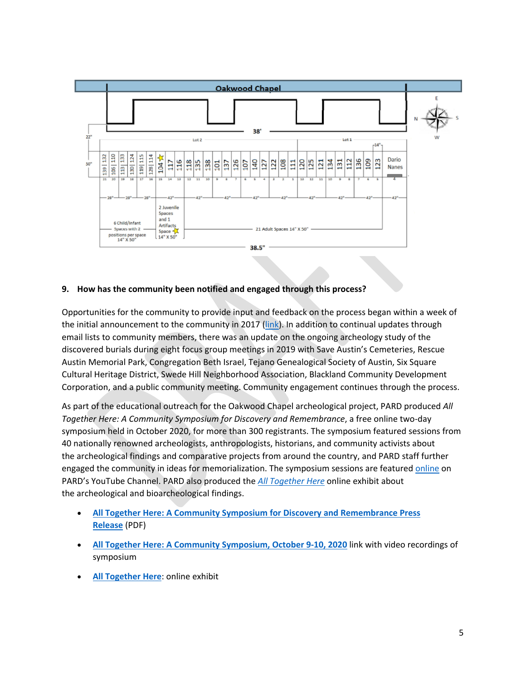

### **9. How has the community been notified and engaged through this process?**

Opportunities for the community to provide input and feedback on the process began within a week of the initial announcement to the community in 2017 [\(link\)](http://www.austintexas.gov/sites/default/files/files/Parks/Oakwood/Oakwood%20Chapel_COMMUNITY%20ENGAGEMENT%20TIMELINE.pdf). In addition to continual updates through email lists to community members, there was an update on the ongoing archeology study of the discovered burials during eight focus group meetings in 2019 with Save Austin's Cemeteries, Rescue Austin Memorial Park, Congregation Beth Israel, Tejano Genealogical Society of Austin, Six Square Cultural Heritage District, Swede Hill Neighborhood Association, Blackland Community Development Corporation, and a public community meeting. Community engagement continues through the process.

As part of the educational outreach for the Oakwood Chapel archeological project, PARD produced *All Together Here: A Community Symposium for Discovery and Remembrance*, a free online two-day symposium held in October 2020, for more than 300 registrants. The symposium featured sessions from 40 nationally renowned archeologists, anthropologists, historians, and community activists about the archeological findings and comparative projects from around the country, and PARD staff further engaged the community in ideas for memorialization. The symposium sessions are featured [online](https://www.youtube.com/playlist?app=desktop&list=PLelTMMBW0YOQV6QssY0ufCEu2sm5n_zcX) on PARD's YouTube Channel. PARD also produced the *[All Together Here](https://storymaps.arcgis.com/collections/eacb51b55ce945889c23f6f8ba62d186)* online exhibit about the archeological and bioarcheological findings.

- **[All Together Here: A Community Symposium for Discovery and Remembrance](https://www.austintexas.gov/sites/default/files/files/Parks/Oakwood/FINAL%20News%20Release.pdf) Press [Release](https://www.austintexas.gov/sites/default/files/files/Parks/Oakwood/FINAL%20News%20Release.pdf)** (PDF)
- **All Together Here: [A Community Symposium, October 9-10, 2020](https://experience.arcgis.com/experience/d0b7ec88a46147ff835c3be602d72938/page/page_0/)** link with video recordings of symposium
- **[All Together Here](https://storymaps.arcgis.com/collections/eacb51b55ce945889c23f6f8ba62d186)**: online exhibit